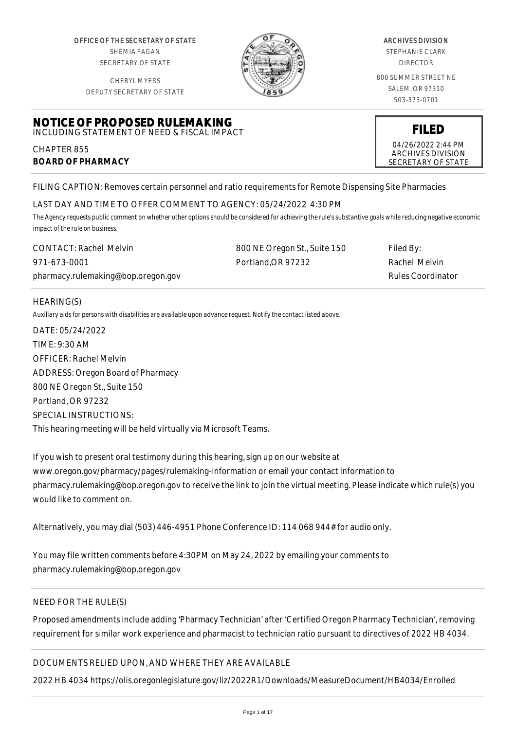OFFICE OF THE SECRETARY OF STATE SHEMIA FAGAN SECRETARY OF STATE

CHERYL MYERS



#### ARCHIVES DIVISION

STEPHANIE CLARK DIRECTOR

800 SUMMER STREET NE SALEM, OR 97310 503-373-0701

> **FILED** 04/26/2022 2:44 PM ARCHIVES DIVISION SECRETARY OF STATE

DEPUTY SECRETARY OF STATE

#### **NOTICE OF PROPOSED RULEMAKING** INCLUDING STATEMENT OF NEED & FISCAL IMPACT

CHAPTER 855 **BOARD OF PHARMACY**

FILING CAPTION: Removes certain personnel and ratio requirements for Remote Dispensing Site Pharmacies

# LAST DAY AND TIME TO OFFER COMMENT TO AGENCY: 05/24/2022 4:30 PM

*The Agency requests public comment on whether other options should be considered for achieving the rule's substantive goals while reducing negative economic impact of the rule on business.*

| <b>CONTACT: Rachel Melvin</b>      | 800 NE Oregon St., Suite 150 | Filed By:                |
|------------------------------------|------------------------------|--------------------------|
| 971-673-0001                       | Portland.OR 97232            | Rachel Melvin            |
| pharmacy.rulemaking@bop.oregon.gov |                              | <b>Rules Coordinator</b> |

# HEARING(S)

*Auxiliary aids for persons with disabilities are available upon advance request. Notify the contact listed above.*

DATE: 05/24/2022 TIME: 9:30 AM OFFICER: Rachel Melvin ADDRESS: Oregon Board of Pharmacy 800 NE Oregon St., Suite 150 Portland, OR 97232 SPECIAL INSTRUCTIONS: This hearing meeting will be held virtually via Microsoft Teams.

If you wish to present oral testimony during this hearing, sign up on our website at www.oregon.gov/pharmacy/pages/rulemaking-information or email your contact information to pharmacy.rulemaking@bop.oregon.gov to receive the link to join the virtual meeting. Please indicate which rule(s) you would like to comment on.

Alternatively, you may dial (503) 446-4951 Phone Conference ID: 114 068 944# for audio only.

You may file written comments before 4:30PM on May 24, 2022 by emailing your comments to pharmacy.rulemaking@bop.oregon.gov

# NEED FOR THE RULE(S)

Proposed amendments include adding 'Pharmacy Technician' after 'Certified Oregon Pharmacy Technician', removing requirement for similar work experience and pharmacist to technician ratio pursuant to directives of 2022 HB 4034.

# DOCUMENTS RELIED UPON, AND WHERE THEY ARE AVAILABLE

2022 HB 4034 https://olis.oregonlegislature.gov/liz/2022R1/Downloads/MeasureDocument/HB4034/Enrolled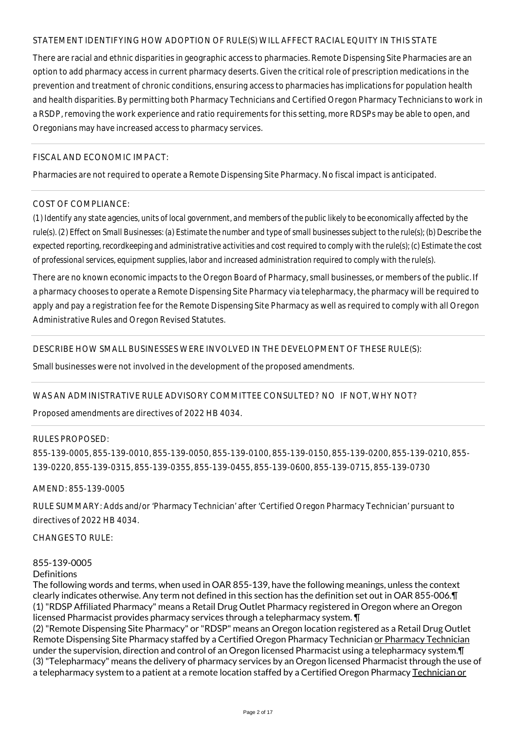# STATEMENT IDENTIFYING HOW ADOPTION OF RULE(S) WILL AFFECT RACIAL EQUITY IN THIS STATE

There are racial and ethnic disparities in geographic access to pharmacies. Remote Dispensing Site Pharmacies are an option to add pharmacy access in current pharmacy deserts. Given the critical role of prescription medications in the prevention and treatment of chronic conditions, ensuring access to pharmacies has implications for population health and health disparities. By permitting both Pharmacy Technicians and Certified Oregon Pharmacy Technicians to work in a RSDP, removing the work experience and ratio requirements for this setting, more RDSPs may be able to open, and Oregonians may have increased access to pharmacy services.

## FISCAL AND ECONOMIC IMPACT:

Pharmacies are not required to operate a Remote Dispensing Site Pharmacy. No fiscal impact is anticipated.

## COST OF COMPLIANCE:

*(1) Identify any state agencies, units of local government, and members of the public likely to be economically affected by the rule(s). (2) Effect on Small Businesses: (a) Estimate the number and type of small businesses subject to the rule(s); (b) Describe the expected reporting, recordkeeping and administrative activities and cost required to comply with the rule(s); (c) Estimate the cost of professional services, equipment supplies, labor and increased administration required to comply with the rule(s).*

There are no known economic impacts to the Oregon Board of Pharmacy, small businesses, or members of the public. If a pharmacy chooses to operate a Remote Dispensing Site Pharmacy via telepharmacy, the pharmacy will be required to apply and pay a registration fee for the Remote Dispensing Site Pharmacy as well as required to comply with all Oregon Administrative Rules and Oregon Revised Statutes.

# DESCRIBE HOW SMALL BUSINESSES WERE INVOLVED IN THE DEVELOPMENT OF THESE RULE(S):

Small businesses were not involved in the development of the proposed amendments.

#### WAS AN ADMINISTRATIVE RULE ADVISORY COMMITTEE CONSULTED? NO IF NOT, WHY NOT?

Proposed amendments are directives of 2022 HB 4034.

#### RULES PROPOSED:

855-139-0005, 855-139-0010, 855-139-0050, 855-139-0100, 855-139-0150, 855-139-0200, 855-139-0210, 855- 139-0220, 855-139-0315, 855-139-0355, 855-139-0455, 855-139-0600, 855-139-0715, 855-139-0730

#### AMEND: 855-139-0005

RULE SUMMARY: Adds and/or 'Pharmacy Technician' after 'Certified Oregon Pharmacy Technician' pursuant to directives of 2022 HB 4034.

CHANGES TO RULE:

# 855-139-0005

#### **Definitions**

The following words and terms, when used in OAR 855-139, have the following meanings, unless the context clearly indicates otherwise. Any term not defined in this section has the definition set out in OAR 855-006.¶ (1) "RDSP Affiliated Pharmacy" means a Retail Drug Outlet Pharmacy registered in Oregon where an Oregon licensed Pharmacist provides pharmacy services through a telepharmacy system. ¶

(2) "Remote Dispensing Site Pharmacy" or "RDSP" means an Oregon location registered as a Retail Drug Outlet Remote Dispensing Site Pharmacy staffed by a Certified Oregon Pharmacy Technician or Pharmacy Technician under the supervision, direction and control of an Oregon licensed Pharmacist using a telepharmacy system.¶ (3) "Telepharmacy" means the delivery of pharmacy services by an Oregon licensed Pharmacist through the use of a telepharmacy system to a patient at a remote location staffed by a Certified Oregon Pharmacy Technician or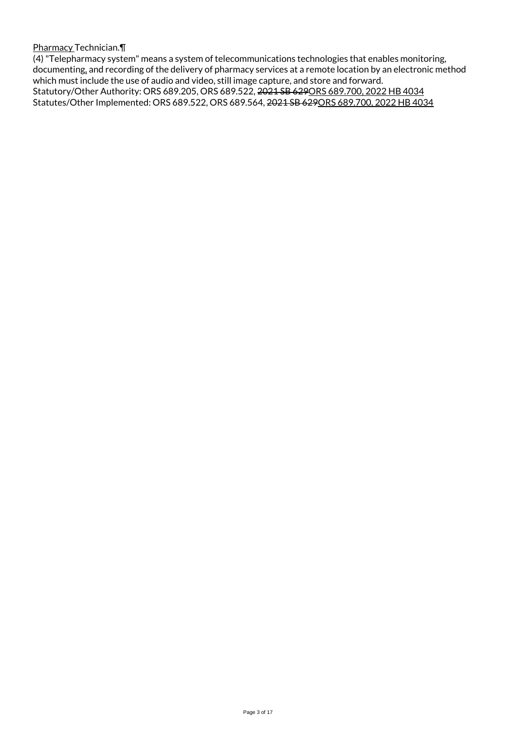Pharmacy Technician.¶

(4) "Telepharmacy system" means a system of telecommunications technologies that enables monitoring, documenting, and recording of the delivery of pharmacy services at a remote location by an electronic method which must include the use of audio and video, still image capture, and store and forward. Statutory/Other Authority: ORS 689.205, ORS 689.522, 2021 SB 629ORS 689.700, 2022 HB 4034 Statutes/Other Implemented: ORS 689.522, ORS 689.564, 2021 SB 629ORS 689.700, 2022 HB 4034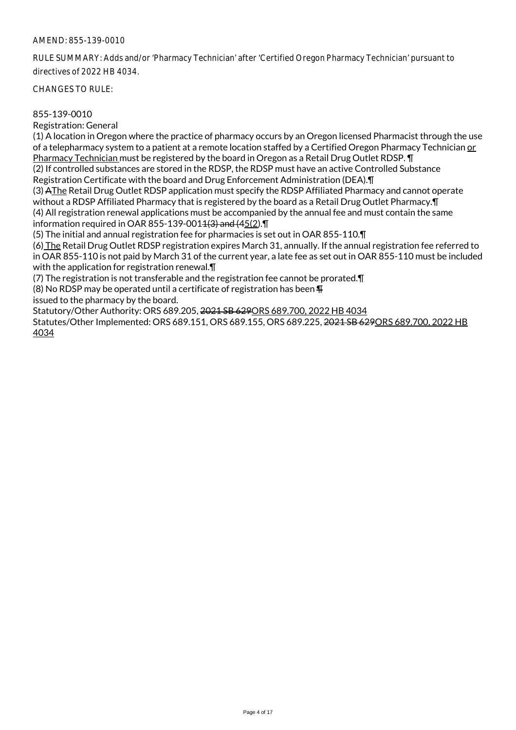RULE SUMMARY: Adds and/or 'Pharmacy Technician' after 'Certified Oregon Pharmacy Technician' pursuant to directives of 2022 HB 4034.

CHANGES TO RULE:

#### 855-139-0010

Registration: General

(1) A location in Oregon where the practice of pharmacy occurs by an Oregon licensed Pharmacist through the use of a telepharmacy system to a patient at a remote location staffed by a Certified Oregon Pharmacy Technician or Pharmacy Technician must be registered by the board in Oregon as a Retail Drug Outlet RDSP. ¶ (2) If controlled substances are stored in the RDSP, the RDSP must have an active Controlled Substance

Registration Certificate with the board and Drug Enforcement Administration (DEA).¶

(3) AThe Retail Drug Outlet RDSP application must specify the RDSP Affiliated Pharmacy and cannot operate without a RDSP Affiliated Pharmacy that is registered by the board as a Retail Drug Outlet Pharmacy.¶ (4) All registration renewal applications must be accompanied by the annual fee and must contain the same information required in OAR 855-139-0014 $(3)$  and  $(45(2)$ .  $\P$ 

(5) The initial and annual registration fee for pharmacies is set out in OAR 855-110.¶

(6) The Retail Drug Outlet RDSP registration expires March 31, annually. If the annual registration fee referred to in OAR 855-110 is not paid by March 31 of the current year, a late fee as set out in OAR 855-110 must be included with the application for registration renewal.¶

(7) The registration is not transferable and the registration fee cannot be prorated.¶

(8) No RDSP may be operated until a certificate of registration has been  $\P$ 

issued to the pharmacy by the board.

Statutory/Other Authority: ORS 689.205, 2021 SB 629ORS 689.700, 2022 HB 4034

Statutes/Other Implemented: ORS 689.151, ORS 689.155, ORS 689.225, 2021 SB 629ORS 689.700, 2022 HB 4034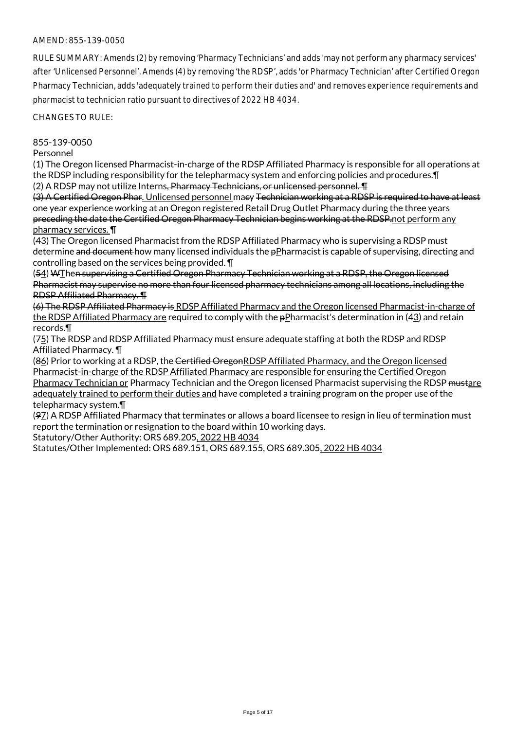RULE SUMMARY: Amends (2) by removing 'Pharmacy Technicians' and adds 'may not perform any pharmacy services' after 'Unlicensed Personnel'. Amends (4) by removing 'the RDSP', adds 'or Pharmacy Technician' after Certified Oregon Pharmacy Technician, adds 'adequately trained to perform their duties and' and removes experience requirements and pharmacist to technician ratio pursuant to directives of 2022 HB 4034.

CHANGES TO RULE:

# 855-139-0050

#### Personnel

(1) The Oregon licensed Pharmacist-in-charge of the RDSP Affiliated Pharmacy is responsible for all operations at the RDSP including responsibility for the telepharmacy system and enforcing policies and procedures.¶ (2) A RDSP may not utilize Interns<del>, Pharmacy Technicians, or unlicensed personnel. T</del>

(3) A Certified Oregon Phar. Unlicensed personnel macy Technician working at a RDSP is required to have at least one year experience working at an Oregon registered Retail Drug Outlet Pharmacy during the three years preceding the date the Certified Oregon Pharmacy Technician begins working at the RDSP.not perform any pharmacy services. ¶

(43) The Oregon licensed Pharmacist from the RDSP Affiliated Pharmacy who is supervising a RDSP must determine and document how many licensed individuals the pPharmacist is capable of supervising, directing and controlling based on the services being provided. ¶

(54) WThen supervising a Certified Oregon Pharmacy Technician working at a RDSP, the Oregon licensed Pharmacist may supervise no more than four licensed pharmacy technicians among all locations, including the RDSP Affiliated Pharmacy. ¶

(6) The RDSP Affiliated Pharmacy is RDSP Affiliated Pharmacy and the Oregon licensed Pharmacist-in-charge of the RDSP Affiliated Pharmacy are required to comply with the pPharmacist's determination in (43) and retain records.¶

(75) The RDSP and RDSP Affiliated Pharmacy must ensure adequate staffing at both the RDSP and RDSP Affiliated Pharmacy. ¶

(86) Prior to working at a RDSP, the Certified OregonRDSP Affiliated Pharmacy, and the Oregon licensed Pharmacist-in-charge of the RDSP Affiliated Pharmacy are responsible for ensuring the Certified Oregon Pharmacy Technician or Pharmacy Technician and the Oregon licensed Pharmacist supervising the RDSP mustare adequately trained to perform their duties and have completed a training program on the proper use of the telepharmacy system.¶

(97) A RDSP Affiliated Pharmacy that terminates or allows a board licensee to resign in lieu of termination must report the termination or resignation to the board within 10 working days.

Statutory/Other Authority: ORS 689.205, 2022 HB 4034

Statutes/Other Implemented: ORS 689.151, ORS 689.155, ORS 689.305, 2022 HB 4034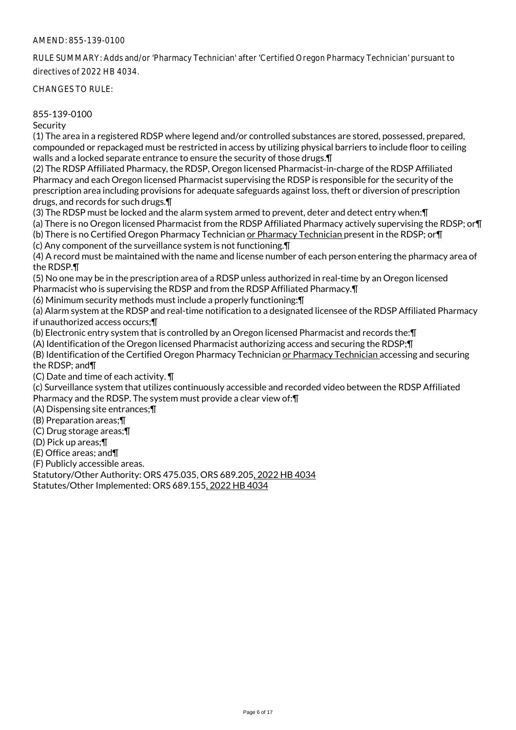RULE SUMMARY: Adds and/or 'Pharmacy Technician' after 'Certified Oregon Pharmacy Technician' pursuant to directives of 2022 HB 4034.

CHANGES TO RULE:

## 855-139-0100

**Security** 

(1) The area in a registered RDSP where legend and/or controlled substances are stored, possessed, prepared, compounded or repackaged must be restricted in access by utilizing physical barriers to include floor to ceiling walls and a locked separate entrance to ensure the security of those drugs.¶

(2) The RDSP Affiliated Pharmacy, the RDSP, Oregon licensed Pharmacist-in-charge of the RDSP Affiliated Pharmacy and each Oregon licensed Pharmacist supervising the RDSP is responsible for the security of the prescription area including provisions for adequate safeguards against loss, theft or diversion of prescription drugs, and records for such drugs.¶

(3) The RDSP must be locked and the alarm system armed to prevent, deter and detect entry when:¶

(a) There is no Oregon licensed Pharmacist from the RDSP Affiliated Pharmacy actively supervising the RDSP; or¶ (b) There is no Certified Oregon Pharmacy Technician or Pharmacy Technician present in the RDSP; or¶

(c) Any component of the surveillance system is not functioning.¶

(4) A record must be maintained with the name and license number of each person entering the pharmacy area of the RDSP.¶

(5) No one may be in the prescription area of a RDSP unless authorized in real-time by an Oregon licensed Pharmacist who is supervising the RDSP and from the RDSP Affiliated Pharmacy.¶

(6) Minimum security methods must include a properly functioning:¶

(a) Alarm system at the RDSP and real-time notification to a designated licensee of the RDSP Affiliated Pharmacy if unauthorized access occurs;¶

(b) Electronic entry system that is controlled by an Oregon licensed Pharmacist and records the:¶

(A) Identification of the Oregon licensed Pharmacist authorizing access and securing the RDSP;¶

(B) Identification of the Certified Oregon Pharmacy Technician or Pharmacy Technician accessing and securing the RDSP; and¶

(C) Date and time of each activity. ¶

(c) Surveillance system that utilizes continuously accessible and recorded video between the RDSP Affiliated Pharmacy and the RDSP. The system must provide a clear view of:¶

(A) Dispensing site entrances;¶

(B) Preparation areas;¶

(C) Drug storage areas;¶

(D) Pick up areas;¶

(E) Office areas; and¶

(F) Publicly accessible areas.

Statutory/Other Authority: ORS 475.035, ORS 689.205, 2022 HB 4034

Statutes/Other Implemented: ORS 689.155, 2022 HB 4034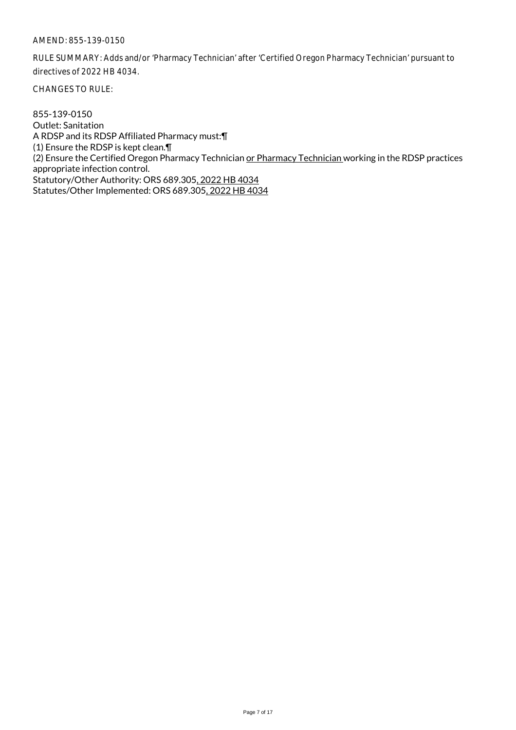RULE SUMMARY: Adds and/or 'Pharmacy Technician' after 'Certified Oregon Pharmacy Technician' pursuant to directives of 2022 HB 4034.

CHANGES TO RULE:

855-139-0150 Outlet: Sanitation A RDSP and its RDSP Affiliated Pharmacy must:¶ (1) Ensure the RDSP is kept clean.¶ (2) Ensure the Certified Oregon Pharmacy Technician or Pharmacy Technician working in the RDSP practices appropriate infection control. Statutory/Other Authority: ORS 689.305, 2022 HB 4034 Statutes/Other Implemented: ORS 689.305, 2022 HB 4034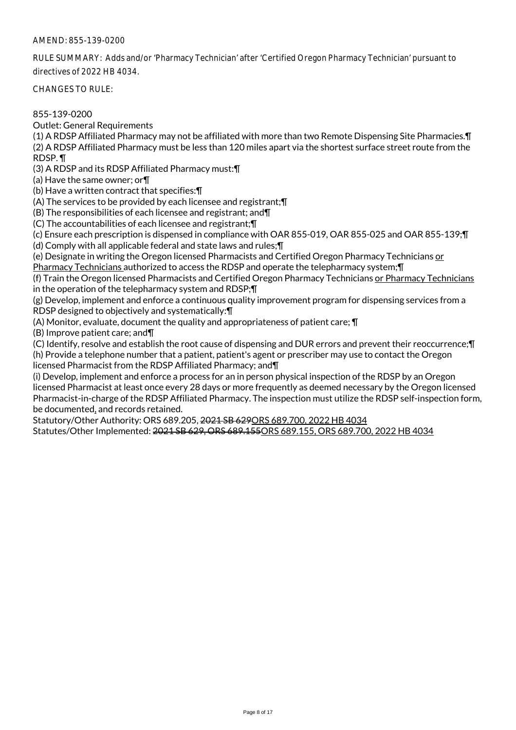RULE SUMMARY: Adds and/or 'Pharmacy Technician' after 'Certified Oregon Pharmacy Technician' pursuant to directives of 2022 HB 4034.

CHANGES TO RULE:

855-139-0200

Outlet: General Requirements

(1) A RDSP Affiliated Pharmacy may not be affiliated with more than two Remote Dispensing Site Pharmacies.¶ (2) A RDSP Affiliated Pharmacy must be less than 120 miles apart via the shortest surface street route from the RDSP. ¶

(3) A RDSP and its RDSP Affiliated Pharmacy must:¶

(a) Have the same owner; or¶

(b) Have a written contract that specifies:¶

(A) The services to be provided by each licensee and registrant;¶

(B) The responsibilities of each licensee and registrant; and¶

(C) The accountabilities of each licensee and registrant;¶

(c) Ensure each prescription is dispensed in compliance with OAR 855-019, OAR 855-025 and OAR 855-139;¶

(d) Comply with all applicable federal and state laws and rules;¶

(e) Designate in writing the Oregon licensed Pharmacists and Certified Oregon Pharmacy Technicians or

Pharmacy Technicians authorized to access the RDSP and operate the telepharmacy system;¶

(f) Train the Oregon licensed Pharmacists and Certified Oregon Pharmacy Technicians or Pharmacy Technicians in the operation of the telepharmacy system and RDSP;¶

(g) Develop, implement and enforce a continuous quality improvement program for dispensing services from a RDSP designed to objectively and systematically:¶

(A) Monitor, evaluate, document the quality and appropriateness of patient care; ¶

(B) Improve patient care; and¶

(C) Identify, resolve and establish the root cause of dispensing and DUR errors and prevent their reoccurrence;¶

(h) Provide a telephone number that a patient, patient's agent or prescriber may use to contact the Oregon licensed Pharmacist from the RDSP Affiliated Pharmacy; and¶

(i) Develop, implement and enforce a process for an in person physical inspection of the RDSP by an Oregon licensed Pharmacist at least once every 28 days or more frequently as deemed necessary by the Oregon licensed Pharmacist-in-charge of the RDSP Affiliated Pharmacy. The inspection must utilize the RDSP self-inspection form, be documented, and records retained.

Statutory/Other Authority: ORS 689.205, 2021 SB 629ORS 689.700, 2022 HB 4034

Statutes/Other Implemented: 2021 SB 629, ORS 689.155ORS 689.155, ORS 689.700, 2022 HB 4034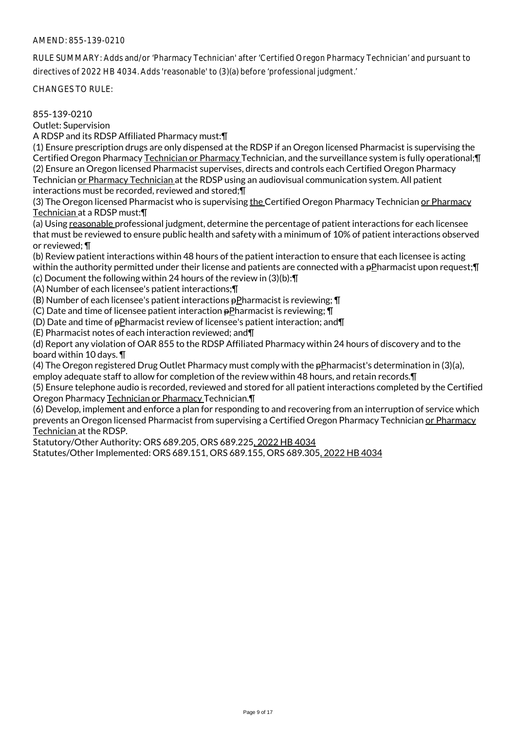RULE SUMMARY: Adds and/or 'Pharmacy Technician' after 'Certified Oregon Pharmacy Technician' and pursuant to directives of 2022 HB 4034. Adds 'reasonable' to (3)(a) before 'professional judgment.'

CHANGES TO RULE:

855-139-0210

Outlet: Supervision

A RDSP and its RDSP Affiliated Pharmacy must:¶

(1) Ensure prescription drugs are only dispensed at the RDSP if an Oregon licensed Pharmacist is supervising the Certified Oregon Pharmacy Technician or Pharmacy Technician, and the surveillance system is fully operational;¶ (2) Ensure an Oregon licensed Pharmacist supervises, directs and controls each Certified Oregon Pharmacy Technician or Pharmacy Technician at the RDSP using an audiovisual communication system. All patient interactions must be recorded, reviewed and stored;¶

(3) The Oregon licensed Pharmacist who is supervising the Certified Oregon Pharmacy Technician or Pharmacy Technician at a RDSP must:¶

(a) Using reasonable professional judgment, determine the percentage of patient interactions for each licensee that must be reviewed to ensure public health and safety with a minimum of 10% of patient interactions observed or reviewed; ¶

(b) Review patient interactions within 48 hours of the patient interaction to ensure that each licensee is acting within the authority permitted under their license and patients are connected with a pPharmacist upon request; [ (c) Document the following within 24 hours of the review in (3)(b):¶

(A) Number of each licensee's patient interactions;¶

(B) Number of each licensee's patient interactions pPharmacist is reviewing; ¶

(C) Date and time of licensee patient interaction pPharmacist is reviewing; ¶

(D) Date and time of  $p$ Pharmacist review of licensee's patient interaction; and  $\P$ 

(E) Pharmacist notes of each interaction reviewed; and¶

(d) Report any violation of OAR 855 to the RDSP Affiliated Pharmacy within 24 hours of discovery and to the board within 10 days. ¶

(4) The Oregon registered Drug Outlet Pharmacy must comply with the pPharmacist's determination in (3)(a), employ adequate staff to allow for completion of the review within 48 hours, and retain records.¶

(5) Ensure telephone audio is recorded, reviewed and stored for all patient interactions completed by the Certified Oregon Pharmacy Technician or Pharmacy Technician.¶

(6) Develop, implement and enforce a plan for responding to and recovering from an interruption of service which prevents an Oregon licensed Pharmacist from supervising a Certified Oregon Pharmacy Technician or Pharmacy Technician at the RDSP.

Statutory/Other Authority: ORS 689.205, ORS 689.225, 2022 HB 4034

Statutes/Other Implemented: ORS 689.151, ORS 689.155, ORS 689.305, 2022 HB 4034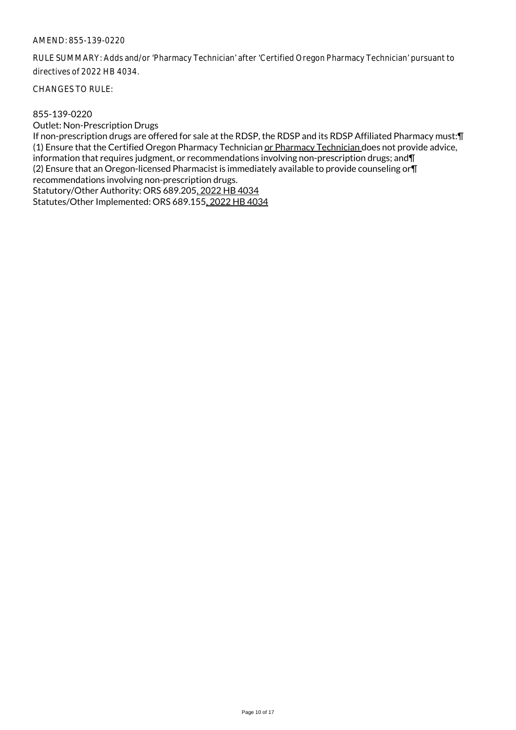RULE SUMMARY: Adds and/or 'Pharmacy Technician' after 'Certified Oregon Pharmacy Technician' pursuant to directives of 2022 HB 4034.

CHANGES TO RULE:

#### 855-139-0220

Outlet: Non-Prescription Drugs

If non-prescription drugs are offered for sale at the RDSP, the RDSP and its RDSP Affiliated Pharmacy must:¶ (1) Ensure that the Certified Oregon Pharmacy Technician or Pharmacy Technician does not provide advice, information that requires judgment, or recommendations involving non-prescription drugs; and¶ (2) Ensure that an Oregon-licensed Pharmacist is immediately available to provide counseling or¶ recommendations involving non-prescription drugs. Statutory/Other Authority: ORS 689.205, 2022 HB 4034 Statutes/Other Implemented: ORS 689.155, 2022 HB 4034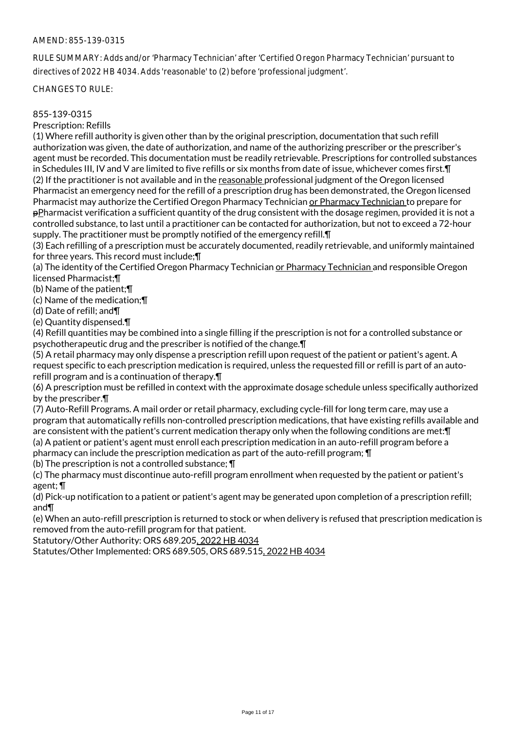RULE SUMMARY: Adds and/or 'Pharmacy Technician' after 'Certified Oregon Pharmacy Technician' pursuant to directives of 2022 HB 4034. Adds 'reasonable' to (2) before 'professional judgment'.

CHANGES TO RULE:

## 855-139-0315

Prescription: Refills

(1) Where refill authority is given other than by the original prescription, documentation that such refill authorization was given, the date of authorization, and name of the authorizing prescriber or the prescriber's agent must be recorded. This documentation must be readily retrievable. Prescriptions for controlled substances in Schedules III, IV and V are limited to five refills or six months from date of issue, whichever comes first.¶ (2) If the practitioner is not available and in the reasonable professional judgment of the Oregon licensed Pharmacist an emergency need for the refill of a prescription drug has been demonstrated, the Oregon licensed Pharmacist may authorize the Certified Oregon Pharmacy Technician or Pharmacy Technician to prepare for pPharmacist verification a sufficient quantity of the drug consistent with the dosage regimen, provided it is not a controlled substance, to last until a practitioner can be contacted for authorization, but not to exceed a 72-hour supply. The practitioner must be promptly notified of the emergency refill. T

(3) Each refilling of a prescription must be accurately documented, readily retrievable, and uniformly maintained for three years. This record must include;¶

(a) The identity of the Certified Oregon Pharmacy Technician or Pharmacy Technician and responsible Oregon licensed Pharmacist;¶

(b) Name of the patient;¶

(c) Name of the medication;¶

(d) Date of refill; and¶

(e) Quantity dispensed.¶

(4) Refill quantities may be combined into a single filling if the prescription is not for a controlled substance or psychotherapeutic drug and the prescriber is notified of the change.¶

(5) A retail pharmacy may only dispense a prescription refill upon request of the patient or patient's agent. A request specific to each prescription medication is required, unless the requested fill or refill is part of an autorefill program and is a continuation of therapy.¶

(6) A prescription must be refilled in context with the approximate dosage schedule unless specifically authorized by the prescriber.¶

(7) Auto-Refill Programs. A mail order or retail pharmacy, excluding cycle-fill for long term care, may use a program that automatically refills non-controlled prescription medications, that have existing refills available and are consistent with the patient's current medication therapy only when the following conditions are met:¶ (a) A patient or patient's agent must enroll each prescription medication in an auto-refill program before a

pharmacy can include the prescription medication as part of the auto-refill program; ¶

(b) The prescription is not a controlled substance; ¶

(c) The pharmacy must discontinue auto-refill program enrollment when requested by the patient or patient's agent; ¶

(d) Pick-up notification to a patient or patient's agent may be generated upon completion of a prescription refill; and¶

(e) When an auto-refill prescription is returned to stock or when delivery is refused that prescription medication is removed from the auto-refill program for that patient.

Statutory/Other Authority: ORS 689.205, 2022 HB 4034

Statutes/Other Implemented: ORS 689.505, ORS 689.515, 2022 HB 4034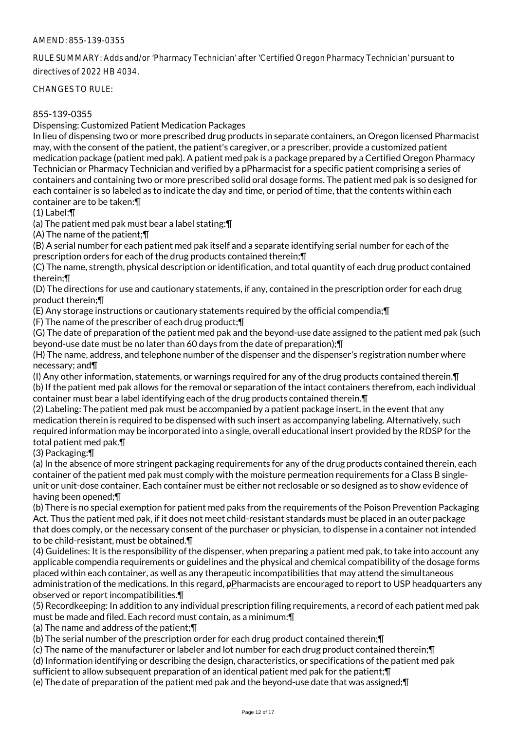RULE SUMMARY: Adds and/or 'Pharmacy Technician' after 'Certified Oregon Pharmacy Technician' pursuant to directives of 2022 HB 4034.

CHANGES TO RULE:

# 855-139-0355

Dispensing: Customized Patient Medication Packages

In lieu of dispensing two or more prescribed drug products in separate containers, an Oregon licensed Pharmacist may, with the consent of the patient, the patient's caregiver, or a prescriber, provide a customized patient medication package (patient med pak). A patient med pak is a package prepared by a Certified Oregon Pharmacy Technician or Pharmacy Technician and verified by a pPharmacist for a specific patient comprising a series of containers and containing two or more prescribed solid oral dosage forms. The patient med pak is so designed for each container is so labeled as to indicate the day and time, or period of time, that the contents within each container are to be taken:¶

(1) Label:¶

(a) The patient med pak must bear a label stating:¶

(A) The name of the patient;¶

(B) A serial number for each patient med pak itself and a separate identifying serial number for each of the prescription orders for each of the drug products contained therein;¶

(C) The name, strength, physical description or identification, and total quantity of each drug product contained therein;¶

(D) The directions for use and cautionary statements, if any, contained in the prescription order for each drug product therein;¶

(E) Any storage instructions or cautionary statements required by the official compendia;¶

(F) The name of the prescriber of each drug product;¶

(G) The date of preparation of the patient med pak and the beyond-use date assigned to the patient med pak (such beyond-use date must be no later than 60 days from the date of preparation);¶

(H) The name, address, and telephone number of the dispenser and the dispenser's registration number where necessary; and¶

(I) Any other information, statements, or warnings required for any of the drug products contained therein.¶ (b) If the patient med pak allows for the removal or separation of the intact containers therefrom, each individual container must bear a label identifying each of the drug products contained therein.¶

(2) Labeling: The patient med pak must be accompanied by a patient package insert, in the event that any medication therein is required to be dispensed with such insert as accompanying labeling. Alternatively, such required information may be incorporated into a single, overall educational insert provided by the RDSP for the total patient med pak.¶

(3) Packaging:¶

(a) In the absence of more stringent packaging requirements for any of the drug products contained therein, each container of the patient med pak must comply with the moisture permeation requirements for a Class B singleunit or unit-dose container. Each container must be either not reclosable or so designed as to show evidence of having been opened;¶

(b) There is no special exemption for patient med paks from the requirements of the Poison Prevention Packaging Act. Thus the patient med pak, if it does not meet child-resistant standards must be placed in an outer package that does comply, or the necessary consent of the purchaser or physician, to dispense in a container not intended to be child-resistant, must be obtained.¶

(4) Guidelines: It is the responsibility of the dispenser, when preparing a patient med pak, to take into account any applicable compendia requirements or guidelines and the physical and chemical compatibility of the dosage forms placed within each container, as well as any therapeutic incompatibilities that may attend the simultaneous administration of the medications. In this regard, pPharmacists are encouraged to report to USP headquarters any observed or report incompatibilities.¶

(5) Recordkeeping: In addition to any individual prescription filing requirements, a record of each patient med pak must be made and filed. Each record must contain, as a minimum:¶

(a) The name and address of the patient;¶

(b) The serial number of the prescription order for each drug product contained therein;¶

(c) The name of the manufacturer or labeler and lot number for each drug product contained therein;¶

(d) Information identifying or describing the design, characteristics, or specifications of the patient med pak

sufficient to allow subsequent preparation of an identical patient med pak for the patient;¶

(e) The date of preparation of the patient med pak and the beyond-use date that was assigned;¶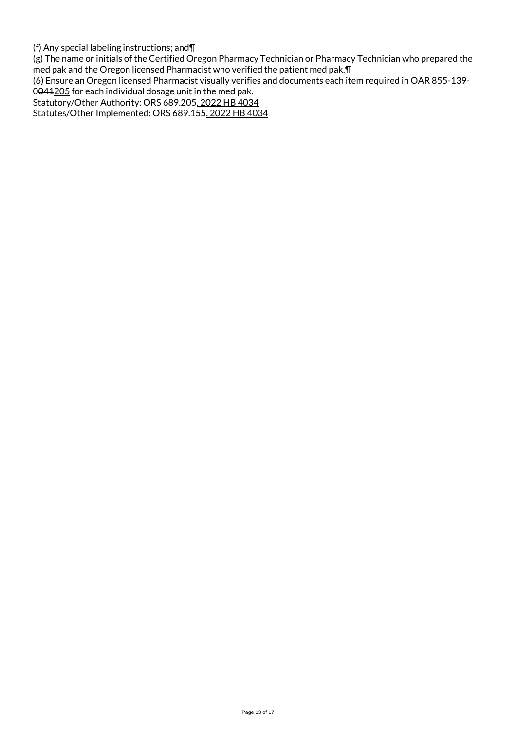(f) Any special labeling instructions; and¶

(g) The name or initials of the Certified Oregon Pharmacy Technician or Pharmacy Technician who prepared the med pak and the Oregon licensed Pharmacist who verified the patient med pak.¶

(6) Ensure an Oregon licensed Pharmacist visually verifies and documents each item required in OAR 855-139-

0041205 for each individual dosage unit in the med pak.

Statutory/Other Authority: ORS 689.205, 2022 HB 4034

Statutes/Other Implemented: ORS 689.155, 2022 HB 4034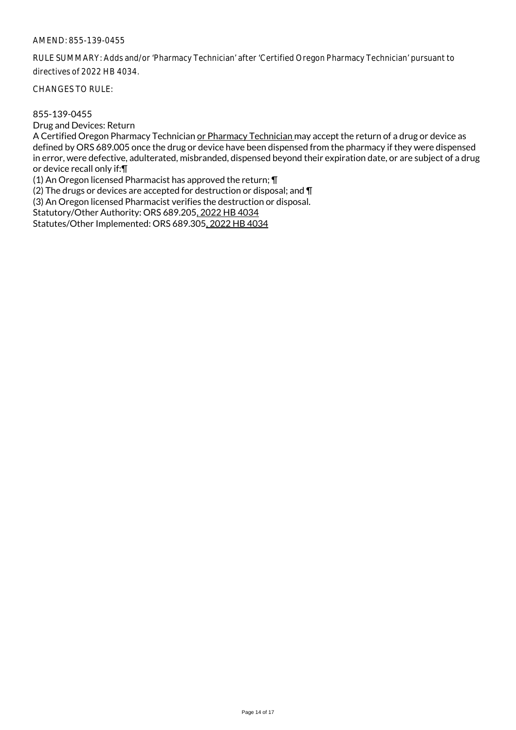RULE SUMMARY: Adds and/or 'Pharmacy Technician' after 'Certified Oregon Pharmacy Technician' pursuant to directives of 2022 HB 4034.

CHANGES TO RULE:

#### 855-139-0455

Drug and Devices: Return

A Certified Oregon Pharmacy Technician or Pharmacy Technician may accept the return of a drug or device as defined by ORS 689.005 once the drug or device have been dispensed from the pharmacy if they were dispensed in error, were defective, adulterated, misbranded, dispensed beyond their expiration date, or are subject of a drug or device recall only if:¶

(1) An Oregon licensed Pharmacist has approved the return; ¶

(2) The drugs or devices are accepted for destruction or disposal; and ¶

(3) An Oregon licensed Pharmacist verifies the destruction or disposal.

Statutory/Other Authority: ORS 689.205, 2022 HB 4034

Statutes/Other Implemented: ORS 689.305, 2022 HB 4034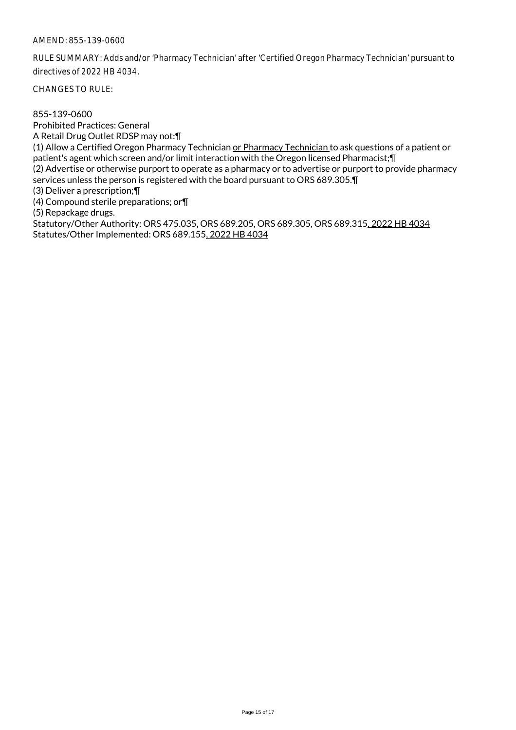RULE SUMMARY: Adds and/or 'Pharmacy Technician' after 'Certified Oregon Pharmacy Technician' pursuant to directives of 2022 HB 4034.

CHANGES TO RULE:

855-139-0600 Prohibited Practices: General A Retail Drug Outlet RDSP may not:¶ (1) Allow a Certified Oregon Pharmacy Technician or Pharmacy Technician to ask questions of a patient or patient's agent which screen and/or limit interaction with the Oregon licensed Pharmacist;¶ (2) Advertise or otherwise purport to operate as a pharmacy or to advertise or purport to provide pharmacy services unless the person is registered with the board pursuant to ORS 689.305.¶ (3) Deliver a prescription;¶ (4) Compound sterile preparations; or¶ (5) Repackage drugs. Statutory/Other Authority: ORS 475.035, ORS 689.205, ORS 689.305, ORS 689.315, 2022 HB 4034 Statutes/Other Implemented: ORS 689.155, 2022 HB 4034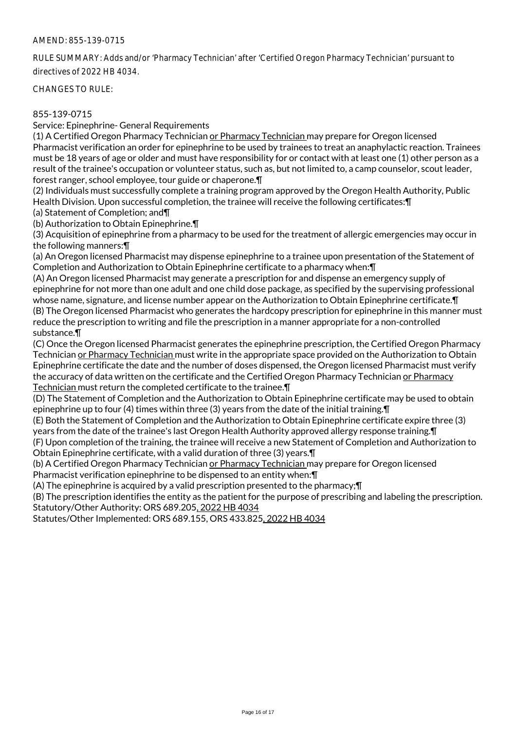RULE SUMMARY: Adds and/or 'Pharmacy Technician' after 'Certified Oregon Pharmacy Technician' pursuant to directives of 2022 HB 4034.

CHANGES TO RULE:

## 855-139-0715

Service: Epinephrine- General Requirements

(1) A Certified Oregon Pharmacy Technician or Pharmacy Technician may prepare for Oregon licensed Pharmacist verification an order for epinephrine to be used by trainees to treat an anaphylactic reaction. Trainees must be 18 years of age or older and must have responsibility for or contact with at least one (1) other person as a result of the trainee's occupation or volunteer status, such as, but not limited to, a camp counselor, scout leader, forest ranger, school employee, tour guide or chaperone.¶

(2) Individuals must successfully complete a training program approved by the Oregon Health Authority, Public Health Division. Upon successful completion, the trainee will receive the following certificates:¶

(a) Statement of Completion; and¶

(b) Authorization to Obtain Epinephrine.¶

(3) Acquisition of epinephrine from a pharmacy to be used for the treatment of allergic emergencies may occur in the following manners:¶

(a) An Oregon licensed Pharmacist may dispense epinephrine to a trainee upon presentation of the Statement of Completion and Authorization to Obtain Epinephrine certificate to a pharmacy when:¶

(A) An Oregon licensed Pharmacist may generate a prescription for and dispense an emergency supply of epinephrine for not more than one adult and one child dose package, as specified by the supervising professional whose name, signature, and license number appear on the Authorization to Obtain Epinephrine certificate.¶ (B) The Oregon licensed Pharmacist who generates the hardcopy prescription for epinephrine in this manner must reduce the prescription to writing and file the prescription in a manner appropriate for a non-controlled substance.¶

(C) Once the Oregon licensed Pharmacist generates the epinephrine prescription, the Certified Oregon Pharmacy Technician or Pharmacy Technician must write in the appropriate space provided on the Authorization to Obtain Epinephrine certificate the date and the number of doses dispensed, the Oregon licensed Pharmacist must verify the accuracy of data written on the certificate and the Certified Oregon Pharmacy Technician or Pharmacy Technician must return the completed certificate to the trainee.¶

(D) The Statement of Completion and the Authorization to Obtain Epinephrine certificate may be used to obtain epinephrine up to four (4) times within three (3) years from the date of the initial training.¶

(E) Both the Statement of Completion and the Authorization to Obtain Epinephrine certificate expire three (3) years from the date of the trainee's last Oregon Health Authority approved allergy response training.¶

(F) Upon completion of the training, the trainee will receive a new Statement of Completion and Authorization to Obtain Epinephrine certificate, with a valid duration of three (3) years.¶

(b) A Certified Oregon Pharmacy Technician or Pharmacy Technician may prepare for Oregon licensed Pharmacist verification epinephrine to be dispensed to an entity when:¶

(A) The epinephrine is acquired by a valid prescription presented to the pharmacy;¶

(B) The prescription identifies the entity as the patient for the purpose of prescribing and labeling the prescription. Statutory/Other Authority: ORS 689.205, 2022 HB 4034

Statutes/Other Implemented: ORS 689.155, ORS 433.825, 2022 HB 4034